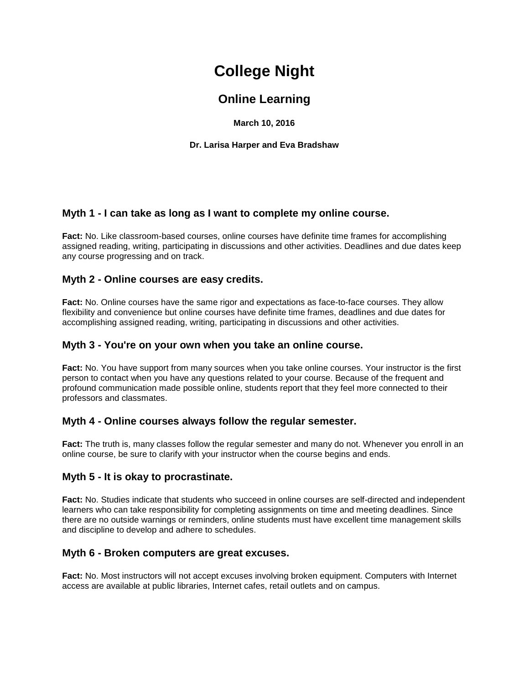# **College Night**

# **Online Learning**

**March 10, 2016**

**Dr. Larisa Harper and Eva Bradshaw**

# **Myth 1 - I can take as long as I want to complete my online course.**

**Fact:** No. Like classroom-based courses, online courses have definite time frames for accomplishing assigned reading, writing, participating in discussions and other activities. Deadlines and due dates keep any course progressing and on track.

## **Myth 2 - Online courses are easy credits.**

**Fact:** No. Online courses have the same rigor and expectations as face-to-face courses. They allow flexibility and convenience but online courses have definite time frames, deadlines and due dates for accomplishing assigned reading, writing, participating in discussions and other activities.

#### **Myth 3 - You're on your own when you take an online course.**

**Fact:** No. You have support from many sources when you take online courses. Your instructor is the first person to contact when you have any questions related to your course. Because of the frequent and profound communication made possible online, students report that they feel more connected to their professors and classmates.

## **Myth 4 - Online courses always follow the regular semester.**

**Fact:** The truth is, many classes follow the regular semester and many do not. Whenever you enroll in an online course, be sure to clarify with your instructor when the course begins and ends.

## **Myth 5 - It is okay to procrastinate.**

**Fact:** No. Studies indicate that students who succeed in online courses are self-directed and independent learners who can take responsibility for completing assignments on time and meeting deadlines. Since there are no outside warnings or reminders, online students must have excellent time management skills and discipline to develop and adhere to schedules.

## **Myth 6 - Broken computers are great excuses.**

**Fact:** No. Most instructors will not accept excuses involving broken equipment. Computers with Internet access are available at public libraries, Internet cafes, retail outlets and on campus.